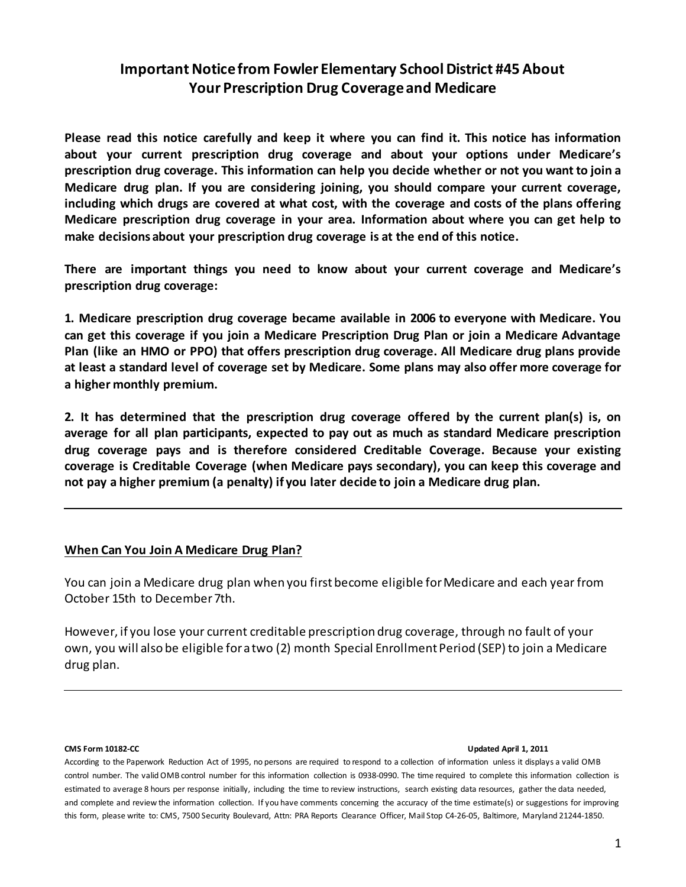# **Important Notice from Fowler Elementary School District #45 About Your Prescription Drug Coverage and Medicare**

**Please read this notice carefully and keep it where you can find it. This notice has information about your current prescription drug coverage and about your options under Medicare's prescription drug coverage. This information can help you decide whether or not you want to join a Medicare drug plan. If you are considering joining, you should compare your current coverage, including which drugs are covered at what cost, with the coverage and costs of the plans offering Medicare prescription drug coverage in your area. Information about where you can get help to make decisions about your prescription drug coverage is at the end of this notice.** 

**There are important things you need to know about your current coverage and Medicare's prescription drug coverage:** 

**1. Medicare prescription drug coverage became available in 2006 to everyone with Medicare. You can get this coverage if you join a Medicare Prescription Drug Plan or join a Medicare Advantage Plan (like an HMO or PPO) that offers prescription drug coverage. All Medicare drug plans provide at least a standard level of coverage set by Medicare. Some plans may also offer more coverage for a higher monthly premium.** 

**2. It has determined that the prescription drug coverage offered by the current plan(s) is, on average for all plan participants, expected to pay out as much as standard Medicare prescription drug coverage pays and is therefore considered Creditable Coverage. Because your existing coverage is Creditable Coverage (when Medicare pays secondary), you can keep this coverage and not pay a higher premium (a penalty) if you later decide to join a Medicare drug plan.**

## **When Can You Join A Medicare Drug Plan?**

You can join a Medicare drug plan when you first become eligible for Medicare and each year from October 15th to December 7th.

However, if you lose your current creditable prescription drug coverage, through no fault of your own, you will also be eligible for a two (2) month Special Enrollment Period (SEP) to join a Medicare drug plan.

### **CMS Form 10182-CC Updated April 1, 2011**

According to the Paperwork Reduction Act of 1995, no persons are required to respond to a collection of information unless it displays a valid OMB control number. The valid OMB control number for this information collection is 0938-0990. The time required to complete this information collection is estimated to average 8 hours per response initially, including the time to review instructions, search existing data resources, gather the data needed, and complete and review the information collection. If you have comments concerning the accuracy of the time estimate(s) or suggestions for improving this form, please write to: CMS, 7500 Security Boulevard, Attn: PRA Reports Clearance Officer, Mail Stop C4-26-05, Baltimore, Maryland 21244-1850.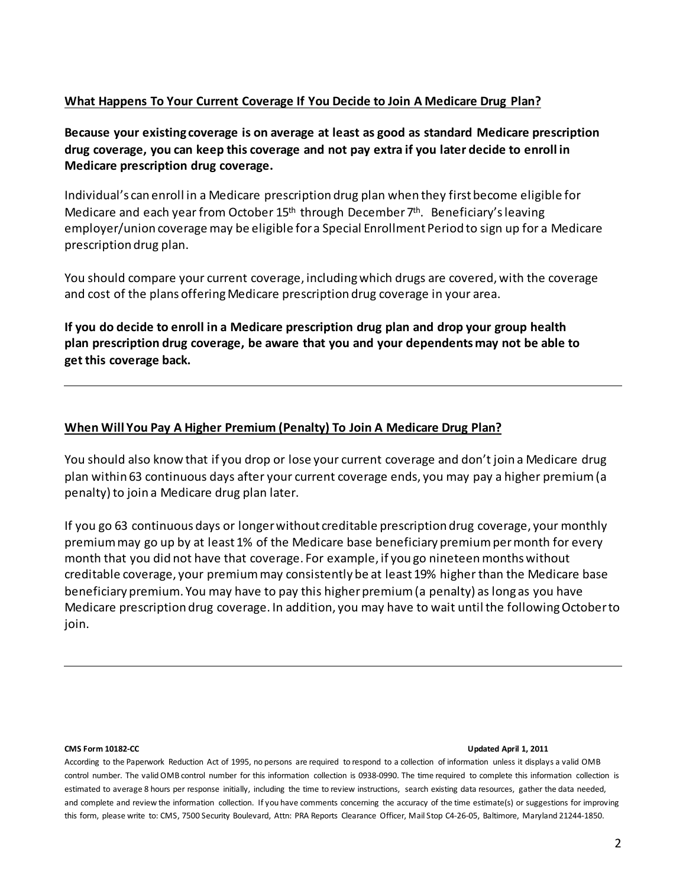## **What Happens To Your Current Coverage If You Decide to Join A Medicare Drug Plan?**

**Because your existing coverage is on average at least as good as standard Medicare prescription drug coverage, you can keep this coverage and not pay extra if you later decide to enroll in Medicare prescription drug coverage.** 

Individual's can enroll in a Medicare prescription drug plan when they first become eligible for Medicare and each year from October  $15<sup>th</sup>$  through December  $7<sup>th</sup>$ . Beneficiary's leaving employer/union coverage may be eligible for a Special Enrollment Period to sign up for a Medicare prescription drug plan.

You should compare your current coverage, including which drugs are covered, with the coverage and cost of the plans offering Medicare prescription drug coverage in your area.

**If you do decide to enroll in a Medicare prescription drug plan and drop your group health plan prescription drug coverage, be aware that you and your dependents may not be able to get this coverage back.** 

## **When Will You Pay A Higher Premium (Penalty) To Join A Medicare Drug Plan?**

You should also know that if you drop or lose your current coverage and don't join a Medicare drug plan within 63 continuous days after your current coverage ends, you may pay a higher premium (a penalty) to join a Medicare drug plan later.

If you go 63 continuous days or longer without creditable prescription drug coverage, your monthly premium may go up by at least 1% of the Medicare base beneficiary premium per month for every month that you did not have that coverage. For example, if you go nineteen months without creditable coverage, your premium may consistently be at least 19% higher than the Medicare base beneficiary premium. You may have to pay this higher premium (a penalty) as long as you have Medicare prescription drug coverage. In addition, you may have to wait until the following October to join.

### **CMS Form 10182-CC Updated April 1, 2011**

According to the Paperwork Reduction Act of 1995, no persons are required to respond to a collection of information unless it displays a valid OMB control number. The valid OMB control number for this information collection is 0938-0990. The time required to complete this information collection is estimated to average 8 hours per response initially, including the time to review instructions, search existing data resources, gather the data needed, and complete and review the information collection. If you have comments concerning the accuracy of the time estimate(s) or suggestions for improving this form, please write to: CMS, 7500 Security Boulevard, Attn: PRA Reports Clearance Officer, Mail Stop C4-26-05, Baltimore, Maryland 21244-1850.